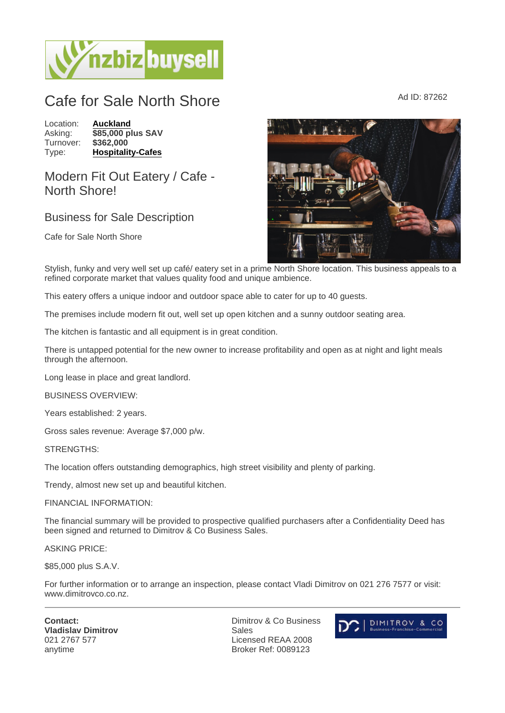## Cafe for Sale North Shore  $A_d$  ID: 87262

Location: [Auckland](https://www.nzbizbuysell.co.nz/businesses-for-sale/location/Auckland) Asking: \$85,000 plus SAV<br>Turnover: \$362.000 Turnover: Type: [Hospitality-Cafes](https://www.nzbizbuysell.co.nz/businesses-for-sale/Cafes/New-Zealand)

## Modern Fit Out Eatery / Cafe - North Shore!

## Business for Sale Description

Cafe for Sale North Shore

Stylish, funky and very well set up café/ eatery set in a prime North Shore location. This business appeals to a refined corporate market that values quality food and unique ambience.

This eatery offers a unique indoor and outdoor space able to cater for up to 40 guests.

The premises include modern fit out, well set up open kitchen and a sunny outdoor seating area.

The kitchen is fantastic and all equipment is in great condition.

There is untapped potential for the new owner to increase profitability and open as at night and light meals through the afternoon.

Long lease in place and great landlord.

BUSINESS OVERVIEW:

Years established: 2 years.

Gross sales revenue: Average \$7,000 p/w.

STRENGTHS:

The location offers outstanding demographics, high street visibility and plenty of parking.

Trendy, almost new set up and beautiful kitchen.

FINANCIAL INFORMATION:

The financial summary will be provided to prospective qualified purchasers after a Confidentiality Deed has been signed and returned to Dimitrov & Co Business Sales.

ASKING PRICE:

\$85,000 plus S.A.V.

For further information or to arrange an inspection, please contact Vladi Dimitrov on 021 276 7577 or visit: www.dimitrovco.co.nz.

Contact: Vladislav Dimitrov 021 2767 577 anytime

Dimitrov & Co Business Sales Licensed REAA 2008 Broker Ref: 0089123